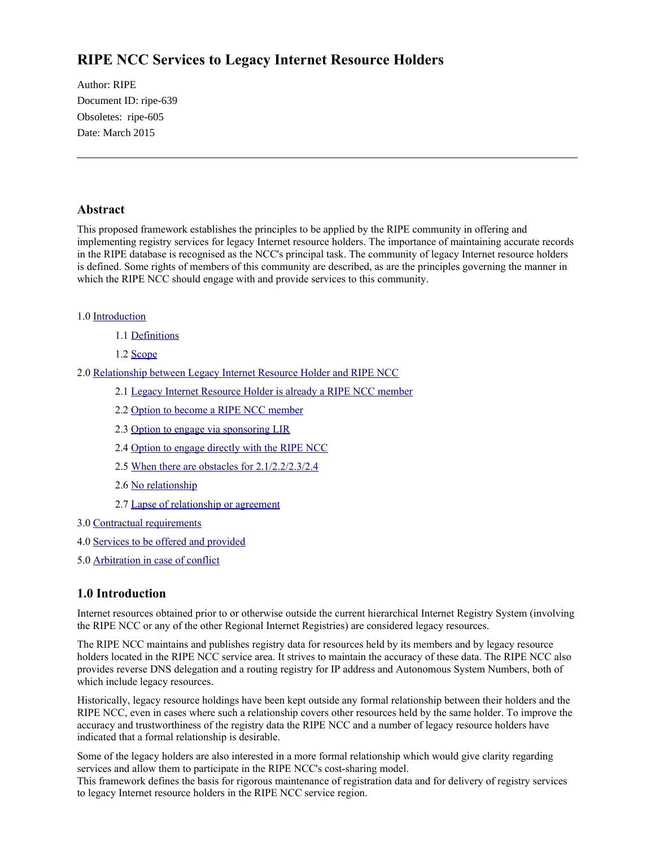# **RIPE NCC Services to Legacy Internet Resource Holders**

Author: RIPE Document ID: ripe-639 Obsoletes: ripe-605 Date: March 2015

# **Abstract**

This proposed framework establishes the principles to be applied by the RIPE community in offering and implementing registry services for legacy Internet resource holders. The importance of maintaining accurate records in the RIPE database is recognised as the NCC's principal task. The community of legacy Internet resource holders is defined. Some rights of members of this community are described, as are the principles governing the manner in which the RIPE NCC should engage with and provide services to this community.

#### 1.0 [Introduction](https://www.ripe.net/ripe/docs/other-documents/draft-ripe-ncc-services-to-legacy-internet-resource-holders#introduction)

- 1.1 [Definitions](https://www.ripe.net/ripe/docs/other-documents/draft-ripe-ncc-services-to-legacy-internet-resource-holders#definitions)
- 1.2 [Scope](https://www.ripe.net/ripe/docs/other-documents/draft-ripe-ncc-services-to-legacy-internet-resource-holders#scope)
- 2.0 [Relationship between Legacy Internet Resource Holder and RIPE NCC](https://www.ripe.net/ripe/docs/other-documents/draft-ripe-ncc-services-to-legacy-internet-resource-holders#relationship)
	- 2.1 [Legacy Internet Resource Holder is already a RIPE NCC member](https://www.ripe.net/ripe/docs/other-documents/draft-ripe-ncc-services-to-legacy-internet-resource-holders#legacy)
	- 2.2 [Option to become a RIPE NCC member](https://www.ripe.net/ripe/docs/other-documents/draft-ripe-ncc-services-to-legacy-internet-resource-holders#option22)
	- 2.3 [Option to engage via sponsoring LIR](https://www.ripe.net/ripe/docs/other-documents/draft-ripe-ncc-services-to-legacy-internet-resource-holders#option23)
	- 2.4 [Option to engage directly with the RIPE NCC](https://www.ripe.net/ripe/docs/other-documents/draft-ripe-ncc-services-to-legacy-internet-resource-holders#option24)
	- 2.5 [When there are obstacles for 2.1/2.2/2.3/2.4](https://www.ripe.net/ripe/docs/other-documents/draft-ripe-ncc-services-to-legacy-internet-resource-holders#obstacles)
	- 2.6 [No relationship](https://www.ripe.net/ripe/docs/other-documents/draft-ripe-ncc-services-to-legacy-internet-resource-holders#no_relationship)
	- 2.7 [Lapse of relationship or agreement](https://www.ripe.net/ripe/docs/other-documents/draft-ripe-ncc-services-to-legacy-internet-resource-holders#lapse)
- 3.0 [Contractual requirements](https://www.ripe.net/ripe/docs/other-documents/draft-ripe-ncc-services-to-legacy-internet-resource-holders#contractual)
- 4.0 [Services to be offered and provided](https://www.ripe.net/ripe/docs/other-documents/draft-ripe-ncc-services-to-legacy-internet-resource-holders#services)
- 5.0 [Arbitration in case of conflict](https://www.ripe.net/ripe/docs/other-documents/draft-ripe-ncc-services-to-legacy-internet-resource-holders#arbitration)

# **1.0 Introduction**

Internet resources obtained prior to or otherwise outside the current hierarchical Internet Registry System (involving the RIPE NCC or any of the other Regional Internet Registries) are considered legacy resources.

The RIPE NCC maintains and publishes registry data for resources held by its members and by legacy resource holders located in the RIPE NCC service area. It strives to maintain the accuracy of these data. The RIPE NCC also provides reverse DNS delegation and a routing registry for IP address and Autonomous System Numbers, both of which include legacy resources.

Historically, legacy resource holdings have been kept outside any formal relationship between their holders and the RIPE NCC, even in cases where such a relationship covers other resources held by the same holder. To improve the accuracy and trustworthiness of the registry data the RIPE NCC and a number of legacy resource holders have indicated that a formal relationship is desirable.

Some of the legacy holders are also interested in a more formal relationship which would give clarity regarding services and allow them to participate in the RIPE NCC's cost-sharing model.

This framework defines the basis for rigorous maintenance of registration data and for delivery of registry services to legacy Internet resource holders in the RIPE NCC service region.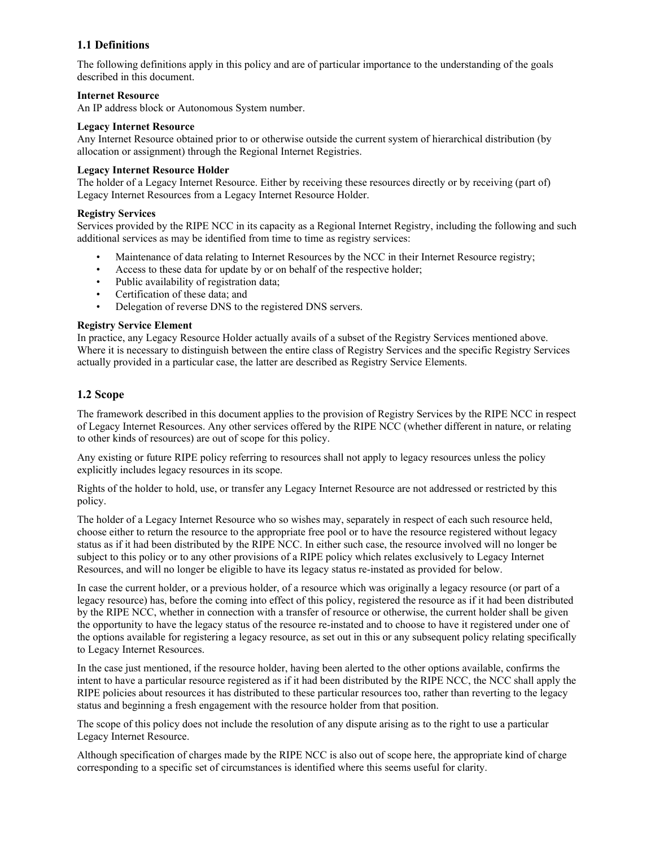# **1.1 Definitions**

The following definitions apply in this policy and are of particular importance to the understanding of the goals described in this document.

#### **Internet Resource**

An IP address block or Autonomous System number.

#### **Legacy Internet Resource**

Any Internet Resource obtained prior to or otherwise outside the current system of hierarchical distribution (by allocation or assignment) through the Regional Internet Registries.

#### **Legacy Internet Resource Holder**

The holder of a Legacy Internet Resource. Either by receiving these resources directly or by receiving (part of) Legacy Internet Resources from a Legacy Internet Resource Holder.

#### **Registry Services**

Services provided by the RIPE NCC in its capacity as a Regional Internet Registry, including the following and such additional services as may be identified from time to time as registry services:

- Maintenance of data relating to Internet Resources by the NCC in their Internet Resource registry;
- Access to these data for update by or on behalf of the respective holder;
- Public availability of registration data;
- Certification of these data; and
- Delegation of reverse DNS to the registered DNS servers.

#### **Registry Service Element**

In practice, any Legacy Resource Holder actually avails of a subset of the Registry Services mentioned above. Where it is necessary to distinguish between the entire class of Registry Services and the specific Registry Services actually provided in a particular case, the latter are described as Registry Service Elements.

#### **1.2 Scope**

The framework described in this document applies to the provision of Registry Services by the RIPE NCC in respect of Legacy Internet Resources. Any other services offered by the RIPE NCC (whether different in nature, or relating to other kinds of resources) are out of scope for this policy.

Any existing or future RIPE policy referring to resources shall not apply to legacy resources unless the policy explicitly includes legacy resources in its scope.

Rights of the holder to hold, use, or transfer any Legacy Internet Resource are not addressed or restricted by this policy.

The holder of a Legacy Internet Resource who so wishes may, separately in respect of each such resource held, choose either to return the resource to the appropriate free pool or to have the resource registered without legacy status as if it had been distributed by the RIPE NCC. In either such case, the resource involved will no longer be subject to this policy or to any other provisions of a RIPE policy which relates exclusively to Legacy Internet Resources, and will no longer be eligible to have its legacy status re-instated as provided for below.

In case the current holder, or a previous holder, of a resource which was originally a legacy resource (or part of a legacy resource) has, before the coming into effect of this policy, registered the resource as if it had been distributed by the RIPE NCC, whether in connection with a transfer of resource or otherwise, the current holder shall be given the opportunity to have the legacy status of the resource re-instated and to choose to have it registered under one of the options available for registering a legacy resource, as set out in this or any subsequent policy relating specifically to Legacy Internet Resources.

In the case just mentioned, if the resource holder, having been alerted to the other options available, confirms the intent to have a particular resource registered as if it had been distributed by the RIPE NCC, the NCC shall apply the RIPE policies about resources it has distributed to these particular resources too, rather than reverting to the legacy status and beginning a fresh engagement with the resource holder from that position.

The scope of this policy does not include the resolution of any dispute arising as to the right to use a particular Legacy Internet Resource.

Although specification of charges made by the RIPE NCC is also out of scope here, the appropriate kind of charge corresponding to a specific set of circumstances is identified where this seems useful for clarity.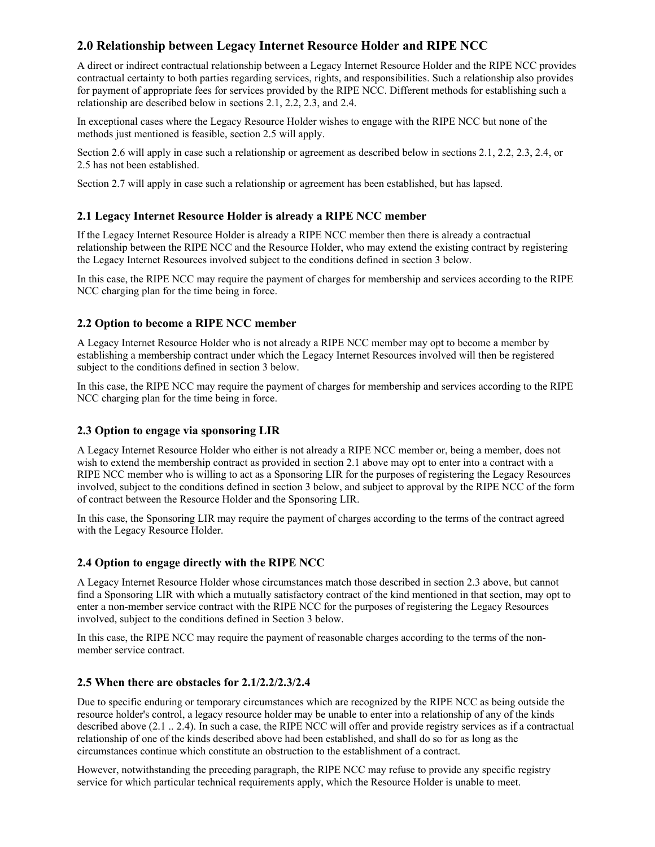# **2.0 Relationship between Legacy Internet Resource Holder and RIPE NCC**

A direct or indirect contractual relationship between a Legacy Internet Resource Holder and the RIPE NCC provides contractual certainty to both parties regarding services, rights, and responsibilities. Such a relationship also provides for payment of appropriate fees for services provided by the RIPE NCC. Different methods for establishing such a relationship are described below in sections 2.1, 2.2, 2.3, and 2.4.

In exceptional cases where the Legacy Resource Holder wishes to engage with the RIPE NCC but none of the methods just mentioned is feasible, section 2.5 will apply.

Section 2.6 will apply in case such a relationship or agreement as described below in sections 2.1, 2.2, 2.3, 2.4, or 2.5 has not been established.

Section 2.7 will apply in case such a relationship or agreement has been established, but has lapsed.

### **2.1 Legacy Internet Resource Holder is already a RIPE NCC member**

If the Legacy Internet Resource Holder is already a RIPE NCC member then there is already a contractual relationship between the RIPE NCC and the Resource Holder, who may extend the existing contract by registering the Legacy Internet Resources involved subject to the conditions defined in section 3 below.

In this case, the RIPE NCC may require the payment of charges for membership and services according to the RIPE NCC charging plan for the time being in force.

### **2.2 Option to become a RIPE NCC member**

A Legacy Internet Resource Holder who is not already a RIPE NCC member may opt to become a member by establishing a membership contract under which the Legacy Internet Resources involved will then be registered subject to the conditions defined in section 3 below.

In this case, the RIPE NCC may require the payment of charges for membership and services according to the RIPE NCC charging plan for the time being in force.

### **2.3 Option to engage via sponsoring LIR**

A Legacy Internet Resource Holder who either is not already a RIPE NCC member or, being a member, does not wish to extend the membership contract as provided in section 2.1 above may opt to enter into a contract with a RIPE NCC member who is willing to act as a Sponsoring LIR for the purposes of registering the Legacy Resources involved, subject to the conditions defined in section 3 below, and subject to approval by the RIPE NCC of the form of contract between the Resource Holder and the Sponsoring LIR.

In this case, the Sponsoring LIR may require the payment of charges according to the terms of the contract agreed with the Legacy Resource Holder.

### **2.4 Option to engage directly with the RIPE NCC**

A Legacy Internet Resource Holder whose circumstances match those described in section 2.3 above, but cannot find a Sponsoring LIR with which a mutually satisfactory contract of the kind mentioned in that section, may opt to enter a non-member service contract with the RIPE NCC for the purposes of registering the Legacy Resources involved, subject to the conditions defined in Section 3 below.

In this case, the RIPE NCC may require the payment of reasonable charges according to the terms of the nonmember service contract.

### **2.5 When there are obstacles for 2.1/2.2/2.3/2.4**

Due to specific enduring or temporary circumstances which are recognized by the RIPE NCC as being outside the resource holder's control, a legacy resource holder may be unable to enter into a relationship of any of the kinds described above (2.1 .. 2.4). In such a case, the RIPE NCC will offer and provide registry services as if a contractual relationship of one of the kinds described above had been established, and shall do so for as long as the circumstances continue which constitute an obstruction to the establishment of a contract.

However, notwithstanding the preceding paragraph, the RIPE NCC may refuse to provide any specific registry service for which particular technical requirements apply, which the Resource Holder is unable to meet.